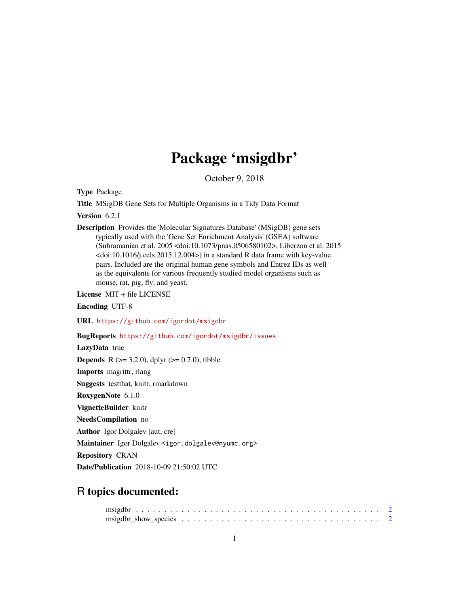## Package 'msigdbr'

October 9, 2018

Type Package

Title MSigDB Gene Sets for Multiple Organisms in a Tidy Data Format

Version 6.2.1

Description Provides the 'Molecular Signatures Database' (MSigDB) gene sets typically used with the 'Gene Set Enrichment Analysis' (GSEA) software (Subramanian et al. 2005 <doi:10.1073/pnas.0506580102>, Liberzon et al. 2015  $\langle \text{doi:10.1016/j.} \text{cells.2015.12.004} \rangle$  in a standard R data frame with key-value pairs. Included are the original human gene symbols and Entrez IDs as well as the equivalents for various frequently studied model organisms such as mouse, rat, pig, fly, and yeast.

License MIT + file LICENSE

Encoding UTF-8

URL <https://github.com/igordot/msigdbr>

BugReports <https://github.com/igordot/msigdbr/issues>

LazyData true

**Depends** R ( $>= 3.2.0$ ), dplyr ( $>= 0.7.0$ ), tibble

Imports magrittr, rlang

Suggests testthat, knitr, rmarkdown

RoxygenNote 6.1.0

VignetteBuilder knitr

NeedsCompilation no

Author Igor Dolgalev [aut, cre]

Maintainer Igor Dolgalev <igor.dolgalev@nyumc.org>

Repository CRAN

Date/Publication 2018-10-09 21:50:02 UTC

### R topics documented:

| $msigdbr_show_species \ldots \ldots \ldots \ldots \ldots \ldots \ldots \ldots \ldots \ldots \ldots 2$ |  |  |  |  |  |  |  |  |  |  |  |  |  |  |  |  |  |
|-------------------------------------------------------------------------------------------------------|--|--|--|--|--|--|--|--|--|--|--|--|--|--|--|--|--|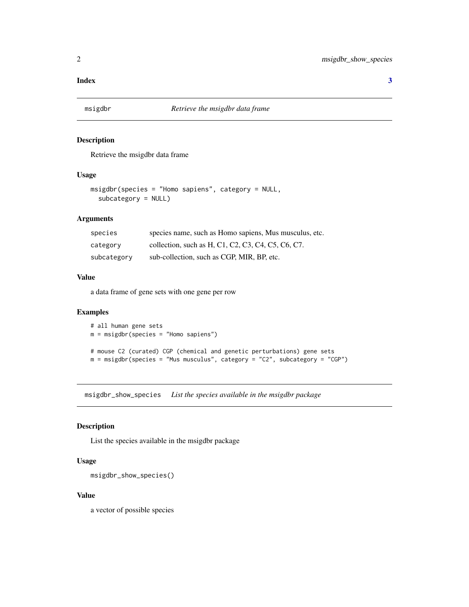#### <span id="page-1-0"></span>**Index** [3](#page-2-0)

#### Description

Retrieve the msigdbr data frame

#### Usage

```
msigdbr(species = "Homo sapiens", category = NULL,
  subcategory = NULL)
```
#### Arguments

| species     | species name, such as Homo sapiens, Mus musculus, etc. |
|-------------|--------------------------------------------------------|
| category    | collection, such as H, C1, C2, C3, C4, C5, C6, C7.     |
| subcategory | sub-collection, such as CGP, MIR, BP, etc.             |

#### Value

a data frame of gene sets with one gene per row

#### Examples

```
# all human gene sets
m = misigdbr(species = "Homeo sapiens")# mouse C2 (curated) CGP (chemical and genetic perturbations) gene sets
m = msigdbr(species = "Mus musculus", category = "C2", subcategory = "CGP")
```
msigdbr\_show\_species *List the species available in the msigdbr package*

#### Description

List the species available in the msigdbr package

#### Usage

```
msigdbr_show_species()
```
#### Value

a vector of possible species